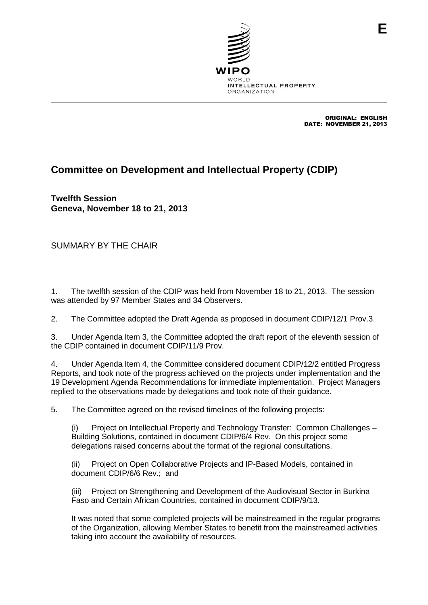

ORIGINAL: ENGLISH DATE: NOVEMBER 21, 2013

## **Committee on Development and Intellectual Property (CDIP)**

**Twelfth Session Geneva, November 18 to 21, 2013**

SUMMARY BY THE CHAIR

1. The twelfth session of the CDIP was held from November 18 to 21, 2013. The session was attended by 97 Member States and 34 Observers.

2. The Committee adopted the Draft Agenda as proposed in document CDIP/12/1 Prov.3.

3. Under Agenda Item 3, the Committee adopted the draft report of the eleventh session of the CDIP contained in document CDIP/11/9 Prov.

4. Under Agenda Item 4, the Committee considered document CDIP/12/2 entitled Progress Reports, and took note of the progress achieved on the projects under implementation and the 19 Development Agenda Recommendations for immediate implementation. Project Managers replied to the observations made by delegations and took note of their guidance.

5. The Committee agreed on the revised timelines of the following projects:

(i) Project on Intellectual Property and Technology Transfer: Common Challenges – Building Solutions, contained in document CDIP/6/4 Rev. On this project some delegations raised concerns about the format of the regional consultations.

(ii) Project on Open Collaborative Projects and IP-Based Models, contained in document CDIP/6/6 Rev.; and

(iii) Project on Strengthening and Development of the Audiovisual Sector in Burkina Faso and Certain African Countries, contained in document CDIP/9/13.

It was noted that some completed projects will be mainstreamed in the regular programs of the Organization, allowing Member States to benefit from the mainstreamed activities taking into account the availability of resources.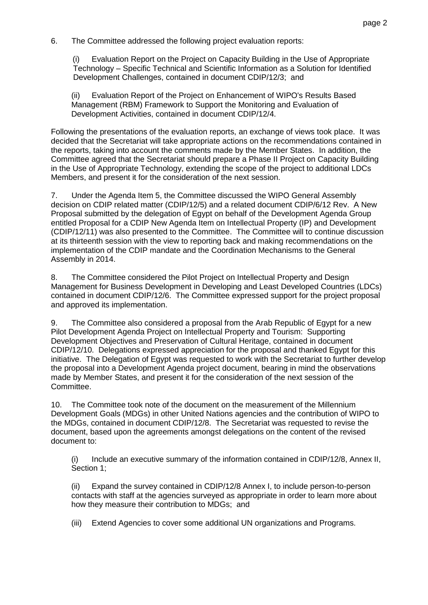6. The Committee addressed the following project evaluation reports:

(i) Evaluation Report on the Project on Capacity Building in the Use of Appropriate Technology – Specific Technical and Scientific Information as a Solution for Identified Development Challenges, contained in document CDIP/12/3; and

(ii) Evaluation Report of the Project on Enhancement of WIPO's Results Based Management (RBM) Framework to Support the Monitoring and Evaluation of Development Activities, contained in document CDIP/12/4.

Following the presentations of the evaluation reports, an exchange of views took place. It was decided that the Secretariat will take appropriate actions on the recommendations contained in the reports, taking into account the comments made by the Member States. In addition, the Committee agreed that the Secretariat should prepare a Phase II Project on Capacity Building in the Use of Appropriate Technology, extending the scope of the project to additional LDCs Members, and present it for the consideration of the next session.

7. Under the Agenda Item 5, the Committee discussed the WIPO General Assembly decision on CDIP related matter (CDIP/12/5) and a related document CDIP/6/12 Rev. A New Proposal submitted by the delegation of Egypt on behalf of the Development Agenda Group entitled Proposal for a CDIP New Agenda Item on Intellectual Property (IP) and Development (CDIP/12/11) was also presented to the Committee. The Committee will to continue discussion at its thirteenth session with the view to reporting back and making recommendations on the implementation of the CDIP mandate and the Coordination Mechanisms to the General Assembly in 2014.

8. The Committee considered the Pilot Project on Intellectual Property and Design Management for Business Development in Developing and Least Developed Countries (LDCs) contained in document CDIP/12/6. The Committee expressed support for the project proposal and approved its implementation.

9. The Committee also considered a proposal from the Arab Republic of Egypt for a new Pilot Development Agenda Project on Intellectual Property and Tourism: Supporting Development Objectives and Preservation of Cultural Heritage, contained in document CDIP/12/10. Delegations expressed appreciation for the proposal and thanked Egypt for this initiative. The Delegation of Egypt was requested to work with the Secretariat to further develop the proposal into a Development Agenda project document, bearing in mind the observations made by Member States, and present it for the consideration of the next session of the Committee.

10. The Committee took note of the document on the measurement of the Millennium Development Goals (MDGs) in other United Nations agencies and the contribution of WIPO to the MDGs, contained in document CDIP/12/8. The Secretariat was requested to revise the document, based upon the agreements amongst delegations on the content of the revised document to:

(i) Include an executive summary of the information contained in CDIP/12/8, Annex II, Section 1;

(ii) Expand the survey contained in CDIP/12/8 Annex I, to include person-to-person contacts with staff at the agencies surveyed as appropriate in order to learn more about how they measure their contribution to MDGs; and

(iii) Extend Agencies to cover some additional UN organizations and Programs.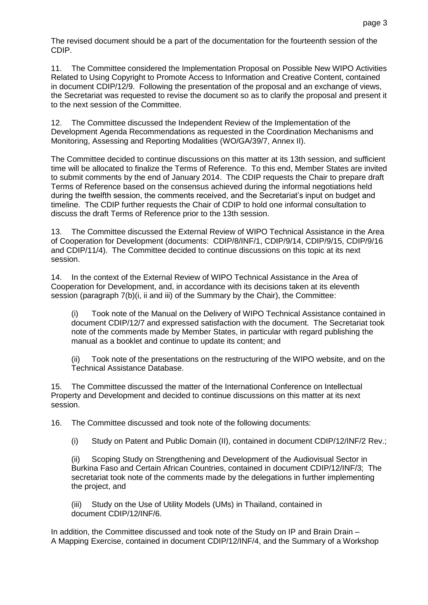The revised document should be a part of the documentation for the fourteenth session of the CDIP.

11. The Committee considered the Implementation Proposal on Possible New WIPO Activities Related to Using Copyright to Promote Access to Information and Creative Content, contained in document CDIP/12/9. Following the presentation of the proposal and an exchange of views, the Secretariat was requested to revise the document so as to clarify the proposal and present it to the next session of the Committee.

12. The Committee discussed the Independent Review of the Implementation of the Development Agenda Recommendations as requested in the Coordination Mechanisms and Monitoring, Assessing and Reporting Modalities (WO/GA/39/7, Annex II).

The Committee decided to continue discussions on this matter at its 13th session, and sufficient time will be allocated to finalize the Terms of Reference. To this end, Member States are invited to submit comments by the end of January 2014. The CDIP requests the Chair to prepare draft Terms of Reference based on the consensus achieved during the informal negotiations held during the twelfth session, the comments received, and the Secretariat's input on budget and timeline. The CDIP further requests the Chair of CDIP to hold one informal consultation to discuss the draft Terms of Reference prior to the 13th session.

13. The Committee discussed the External Review of WIPO Technical Assistance in the Area of Cooperation for Development (documents: CDIP/8/INF/1, CDIP/9/14, CDIP/9/15, CDIP/9/16 and CDIP/11/4). The Committee decided to continue discussions on this topic at its next session.

14. In the context of the External Review of WIPO Technical Assistance in the Area of Cooperation for Development, and, in accordance with its decisions taken at its eleventh session (paragraph 7(b)(i, ii and iii) of the Summary by the Chair), the Committee:

(i) Took note of the Manual on the Delivery of WIPO Technical Assistance contained in document CDIP/12/7 and expressed satisfaction with the document. The Secretariat took note of the comments made by Member States, in particular with regard publishing the manual as a booklet and continue to update its content; and

(ii) Took note of the presentations on the restructuring of the WIPO website, and on the Technical Assistance Database.

15. The Committee discussed the matter of the International Conference on Intellectual Property and Development and decided to continue discussions on this matter at its next session.

16. The Committee discussed and took note of the following documents:

(i) Study on Patent and Public Domain (II), contained in document CDIP/12/INF/2 Rev.;

(ii) Scoping Study on Strengthening and Development of the Audiovisual Sector in Burkina Faso and Certain African Countries, contained in document CDIP/12/INF/3; The secretariat took note of the comments made by the delegations in further implementing the project, and

(iii) Study on the Use of Utility Models (UMs) in Thailand, contained in document CDIP/12/INF/6.

In addition, the Committee discussed and took note of the Study on IP and Brain Drain – A Mapping Exercise, contained in document CDIP/12/INF/4, and the Summary of a Workshop